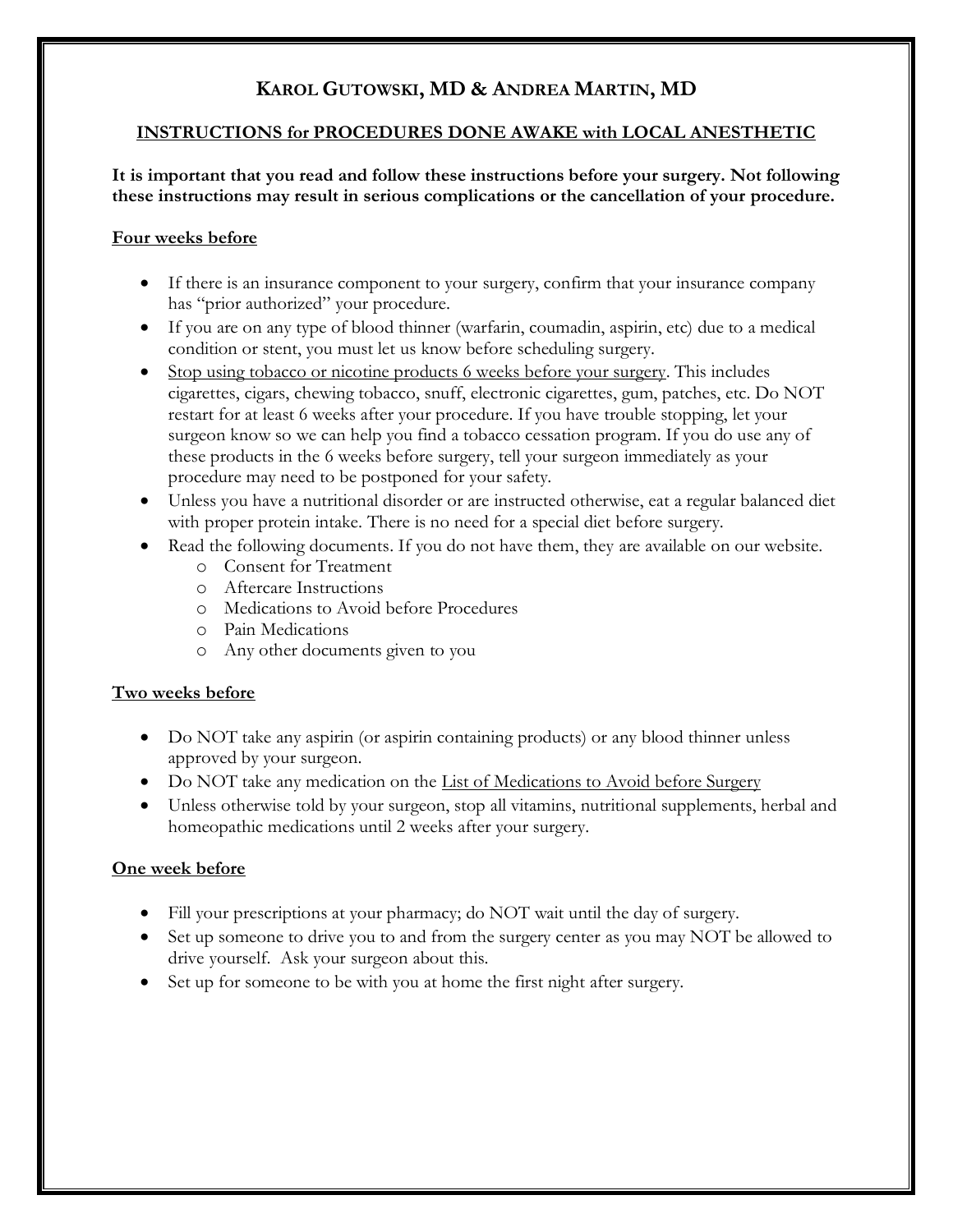# **KAROL GUTOWSKI, MD & ANDREA MARTIN, MD**

### **INSTRUCTIONS for PROCEDURES DONE AWAKE with LOCAL ANESTHETIC**

**It is important that you read and follow these instructions before your surgery. Not following these instructions may result in serious complications or the cancellation of your procedure.** 

#### **Four weeks before**

- If there is an insurance component to your surgery, confirm that your insurance company has "prior authorized" your procedure.
- If you are on any type of blood thinner (warfarin, coumadin, aspirin, etc) due to a medical condition or stent, you must let us know before scheduling surgery.
- Stop using tobacco or nicotine products 6 weeks before your surgery. This includes cigarettes, cigars, chewing tobacco, snuff, electronic cigarettes, gum, patches, etc. Do NOT restart for at least 6 weeks after your procedure. If you have trouble stopping, let your surgeon know so we can help you find a tobacco cessation program. If you do use any of these products in the 6 weeks before surgery, tell your surgeon immediately as your procedure may need to be postponed for your safety.
- Unless you have a nutritional disorder or are instructed otherwise, eat a regular balanced diet with proper protein intake. There is no need for a special diet before surgery.
- Read the following documents. If you do not have them, they are available on our website.
	- o Consent for Treatment
	- o Aftercare Instructions
	- o Medications to Avoid before Procedures
	- o Pain Medications
	- o Any other documents given to you

### **Two weeks before**

- Do NOT take any aspirin (or aspirin containing products) or any blood thinner unless approved by your surgeon.
- Do NOT take any medication on the List of Medications to Avoid before Surgery
- Unless otherwise told by your surgeon, stop all vitamins, nutritional supplements, herbal and homeopathic medications until 2 weeks after your surgery.

### **One week before**

- Fill your prescriptions at your pharmacy; do NOT wait until the day of surgery.
- Set up someone to drive you to and from the surgery center as you may NOT be allowed to drive yourself. Ask your surgeon about this.
- Set up for someone to be with you at home the first night after surgery.